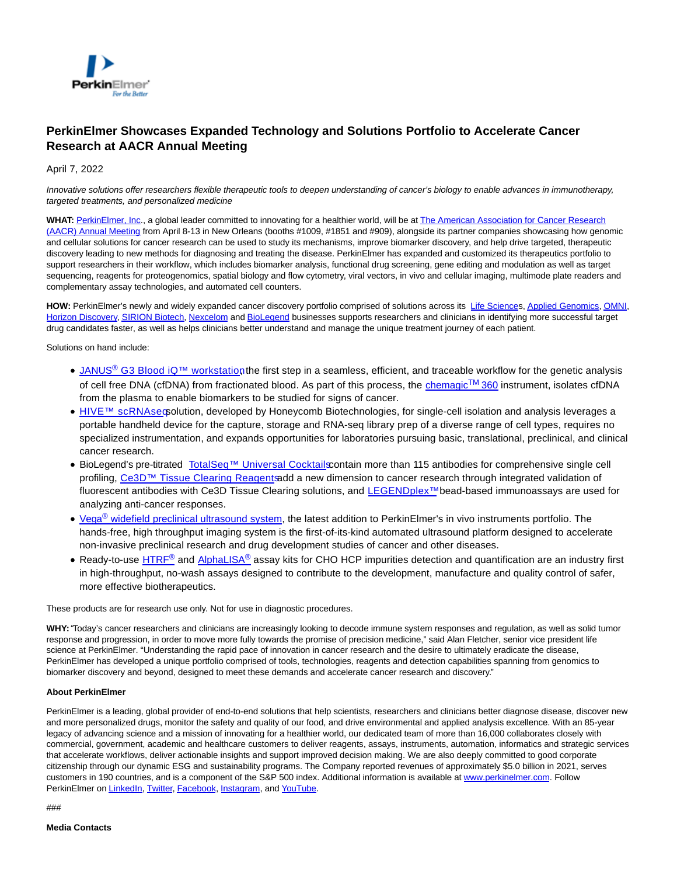

## **PerkinElmer Showcases Expanded Technology and Solutions Portfolio to Accelerate Cancer Research at AACR Annual Meeting**

## April 7, 2022

Innovative solutions offer researchers flexible therapeutic tools to deepen understanding of cancer's biology to enable advances in immunotherapy, targeted treatments, and personalized medicine

WHAT: [PerkinElmer, Inc.,](http://www.perkinelmer.com/) a global leader committed to innovating for a healthier world, will be a[t The American Association for Cancer Research](https://www.perkinelmer.com/cancer-research-solutions/index.html) (AACR) Annual Meeting from April 8-13 in New Orleans (booths #1009, #1851 and #909), alongside its partner companies showcasing how genomic and cellular solutions for cancer research can be used to study its mechanisms, improve biomarker discovery, and help drive targeted, therapeutic discovery leading to new methods for diagnosing and treating the disease. PerkinElmer has expanded and customized its therapeutics portfolio to support researchers in their workflow, which includes biomarker analysis, functional drug screening, gene editing and modulation as well as target sequencing, reagents for proteogenomics, spatial biology and flow cytometry, viral vectors, in vivo and cellular imaging, multimode plate readers and complementary assay technologies, and automated cell counters.

HOW: PerkinElmer's newly and widely expanded cancer discovery portfolio comprised of solutions across its [Life Sciences](https://www.perkinelmer.com/corporate/what-we-do/markets/life-sciences.html)[, Applied Genomics,](https://perkinelmer-appliedgenomics.com/) [OMNI,](https://us.omni-inc.com/) [Horizon Discovery,](https://horizondiscovery.com/) [SIRION Biotech,](https://www.sirion-biotech.com/) [Nexcelom a](https://www.nexcelom.com/)nd [BioLegend b](https://www.biolegend.com/)usinesses supports researchers and clinicians in identifying more successful target drug candidates faster, as well as helps clinicians better understand and manage the unique treatment journey of each patient.

Solutions on hand include:

- JANUS<sup>®</sup> G3 Blood iQ™ workstation the first step in a seamless, efficient, and traceable workflow for the genetic analysis of cell free DNA (cfDNA) from fractionated blood. As part of this process, the [chemagic](https://www.perkinelmer.com/product/chemagic-360-2024-0020)™ 360 instrument, isolates cfDNA from the plasma to enable biomarkers to be studied for signs of cancer.
- HIVE™ scRNAseœolution, developed by Honeycomb Biotechnologies, for single-cell isolation and analysis leverages a portable handheld device for the capture, storage and RNA-seq library prep of a diverse range of cell types, requires no specialized instrumentation, and expands opportunities for laboratories pursuing basic, translational, preclinical, and clinical cancer research.
- BioLegend's pre-titrated TotalSeg™ Universal Cocktails contain more than 115 antibodies for comprehensive single cell profiling, Ce3D™ Tissue Clearing Reagentsadd a new dimension to cancer research through integrated validation of fluorescent antibodies with Ce3D Tissue Clearing solutions, and [LEGENDplex™ b](https://www.biolegend.com/en-us/legendplex?gclid=CjwKCAjw0a-SBhBkEiwApljU0ruRaqmX2Ypny2EPq98dr0NBNZXXnAR72EkXWxYcZTHokCmRVwpBWRoCFI4QAvD_BwE)ead-based immunoassays are used for analyzing anti-cancer responses.
- Vega<sup>®</sup> [widefield preclinical ultrasound system,](https://www.perkinelmer.com/category/in-vivo-imaging-instruments) the latest addition to PerkinElmer's in vivo instruments portfolio. The hands-free, high throughput imaging system is the first-of-its-kind automated ultrasound platform designed to accelerate non-invasive preclinical research and drug development studies of cancer and other diseases.
- Ready-to-use [HTRF](https://uk.cisbio.eu/content/homepage-ls)<sup>®</sup> and [AlphaLISA](https://www.perkinelmer.com/category/alpha-reagents)<sup>®</sup> assay kits for CHO HCP impurities detection and quantification are an industry first in high-throughput, no-wash assays designed to contribute to the development, manufacture and quality control of safer, more effective biotherapeutics.

These products are for research use only. Not for use in diagnostic procedures.

**WHY:** "Today's cancer researchers and clinicians are increasingly looking to decode immune system responses and regulation, as well as solid tumor response and progression, in order to move more fully towards the promise of precision medicine," said Alan Fletcher, senior vice president life science at PerkinElmer. "Understanding the rapid pace of innovation in cancer research and the desire to ultimately eradicate the disease, PerkinElmer has developed a unique portfolio comprised of tools, technologies, reagents and detection capabilities spanning from genomics to biomarker discovery and beyond, designed to meet these demands and accelerate cancer research and discovery."

## **About PerkinElmer**

PerkinElmer is a leading, global provider of end-to-end solutions that help scientists, researchers and clinicians better diagnose disease, discover new and more personalized drugs, monitor the safety and quality of our food, and drive environmental and applied analysis excellence. With an 85-year legacy of advancing science and a mission of innovating for a healthier world, our dedicated team of more than 16,000 collaborates closely with commercial, government, academic and healthcare customers to deliver reagents, assays, instruments, automation, informatics and strategic services that accelerate workflows, deliver actionable insights and support improved decision making. We are also deeply committed to good corporate citizenship through our dynamic ESG and sustainability programs. The Company reported revenues of approximately \$5.0 billion in 2021, serves customers in 190 countries, and is a component of the S&P 500 index. Additional information is available at [www.perkinelmer.com.](http://www.perkinelmer.com/) Follow PerkinElmer o[n LinkedIn,](https://www.linkedin.com/company/perkinelmer) [Twitter,](https://twitter.com/PerkinElmer) [Facebook,](https://www.facebook.com/PerkinElmer) [Instagram,](https://www.instagram.com/perkinelmer/) and [YouTube.](https://www.youtube.com/perkinelmer)

###